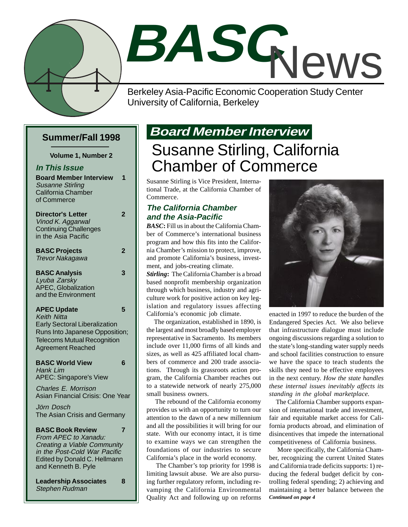

# **BASC** News

Berkeley Asia-Pacific Economic Cooperation Study Center University of California, Berkeley

#### **Summer/Fall 1998**

**Volume 1, Number 2**

**In This Issue Board Member Interview 1** Susanne Stirling California Chamber of Commerce

#### **Director's Letter 2** Vinod K. Aggarwal Continuing Challenges in the Asia Pacific **BASC Projects 2**

Trevor Nakagawa

#### **BASC Analysis 3** Lyuba Zarsky APEC, Globalization and the Environment

#### **APEC Update 5** Keith Nitta Early Sectoral Liberalization Runs Into Japanese Opposition; Telecoms Mutual Recognition Agreement Reached

**BASC World View 6** Hank Lim APEC: Singapore's View

Charles E. Morrison Asian Financial Crisis: One Year

Jörn Dosch The Asian Crisis and Germany

**BASC Book Review 7** From APEC to Xanadu: Creating a Viable Community in the Post-Cold War Pacific Edited by Donald C. Hellmann and Kenneth B. Pyle

**Leadership Associates 8** Stephen Rudman

### **Board Member Interview**

### Susanne Stirling, California Chamber of Commerce

Susanne Stirling is Vice President, International Trade, at the California Chamber of Commerce.

#### **The California Chamber and the Asia-Pacific**

*BASC***:** Fill us in about the California Chamber of Commerce's international business program and how this fits into the California Chamber's mission to protect, improve, and promote California's business, investment, and jobs-creating climate.

*Stirling***:** The California Chamber is a broad based nonprofit membership organization through which business, industry and agriculture work for positive action on key legislation and regulatory issues affecting California's economic job climate.

 The organization, established in 1890, is the largest and most broadly based employer representative in Sacramento. Its members include over 11,000 firms of all kinds and sizes, as well as 425 affiliated local chambers of commerce and 200 trade associations. Through its grassroots action program, the California Chamber reaches out to a statewide network of nearly 275,000 small business owners.

 The rebound of the California economy provides us with an opportunity to turn our attention to the dawn of a new millennium and all the possibilities it will bring for our state. With our economy intact, it is time to examine ways we can strengthen the foundations of our industries to secure California's place in the world economy.

 The Chamber's top priority for 1998 is limiting lawsuit abuse. We are also pursuing further regulatory reform, including revamping the California Environmental Quality Act and following up on reforms



enacted in 1997 to reduce the burden of the Endangered Species Act. We also believe that infrastructure dialogue must include ongoing discussions regarding a solution to the state's long-standing water supply needs and school facilities construction to ensure we have the space to teach students the skills they need to be effective employees in the next century. *How the state handles these internal issues inevitably affects its standing in the global marketplace.*

 The California Chamber supports expansion of international trade and investment, fair and equitable market access for California products abroad, and elimination of disincentives that impede the international competitiveness of California business.

*Continued on page 4* More specifically, the California Chamber, recognizing the current United States and California trade deficits supports: 1) reducing the federal budget deficit by controlling federal spending; 2) achieving and maintaining a better balance between the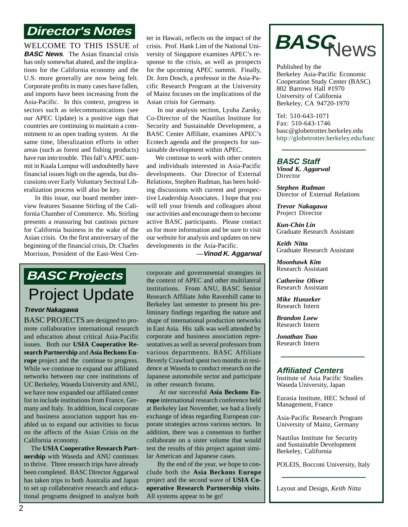### **Director's Notes**

WELCOME TO THIS ISSUE of **BASC News**. The Asian financial crisis has only somewhat abated, and the implications for the California economy and the U.S. more generally are now being felt. Corporate profits in many cases have fallen, and imports have been increasing from the Asia-Pacific. In this context, progress in sectors such as telecommunications (see our APEC Update) is a positive sign that countries are continuing to maintain a commitment to an open trading system. At the same time, liberalization efforts in other areas (such as forest and fishing products) have run into trouble. This fall's APEC summit in Kuala Lumpur will undoubtedly have financial issues high on the agenda, but discussions over Early Voluntary Sectoral Liberalization process will also be key.

 In this issue, our board member interview features Susanne Stirling of the California Chamber of Commerce. Ms. Stirling presents a reassuring but cautious picture for California business in the wake of the Asian crisis. On the first anniversary of the beginning of the financial crisis, Dr. Charles Morrison, President of the East-West Cen-

ter in Hawaii, reflects on the impact of the crisis. Prof. Hank Lim of the National University of Singapore examines APEC's response to the crisis, as well as prospects for the upcoming APEC summit. Finally, Dr. Jorn Dosch, a professor in the Asia-Pacific Research Program at the University of Mainz focuses on the implications of the Asian crisis for Germany.

 In our analysis section, Lyuba Zarsky, Co-Director of the Nautilus Institute for Security and Sustainable Development, a BASC Center Affiliate, examines APEC's Ecotech agenda and the prospects for sustainable development within APEC.

 We continue to work with other centers and individuals interested in Asia-Pacific developments. Our Director of External Relations, Stephen Rudman, has been holding discussions with current and prospective Leadership Associates. I hope that you will tell your friends and colleagues about our activities and encourage them to become active BASC participants. Please contact us for more information and be sure to visit our website for analysis and updates on new developments in the Asia-Pacific.

 **—Vinod K. Aggarwal**

### **BASC Projects** Project Update

#### **Trevor Nakagawa**

BASC PROJECTS are designed to promote collaborative international research and education about critical Asia-Pacific issues. Both our **USIA Cooperative Research Partnership** and **Asia Beckons Europe** project and the continue to progress. While we continue to expand our affiliated networks between our core institutions of UC Berkeley, Waseda University and ANU, we have now expanded our affiliated center list to include institutions from France, Germany and Italy. In addition, local corporate and business association support has enabled us to expand our activities to focus on the affects of the Asian Crisis on the California economy.

 The **USIA Cooperative Research Partnership** with Waseda and ANU continues to thrive. Three research trips have already been completed. BASC Director Aggarwal has taken trips to both Australia and Japan to set up collaborative research and educational programs designed to analyze both

corporate and governmental strategies in the context of APEC and other multilateral institutions. From ANU, BASC Senior Research Affiliate John Ravenhill came to Berkeley last semester to present his preliminary findings regarding the nature and shape of international production networks in East Asia. His talk was well attended by corporate and business association representatives as well as several professors from various departments. BASC Affiliate Beverly Crawford spent two months in residence at Waseda to conduct research on the Japanese automobile sector and participate in other research forums.

 At our successful **Asia Beckons Europe** international research conference held at Berkeley last November, we had a lively exchange of ideas regarding European corporate strategies across various sectors. In addition, there was a consensus to further collaborate on a sister volume that would test the results of this project against similar American and Japanese cases.

 By the end of the year, we hope to conclude both the **Asia Beckons Europe** project and the second wave of **USIA Cooperative Research Partnership visits**. All systems appear to be go!



Published by the Berkeley Asia-Pacific Economic Cooperation Study Center (BASC) 802 Barrows Hall #1970 University of California Berkeley, CA 94720-1970

Tel: 510-643-1071 Fax: 510-643-1746 basc@globetrotter.berkeley.edu http://globetrotter.berkeley.edu/basc

#### **BASC Staff**

*Vinod K. Aggarwal* Director

*Stephen Rudman* Director of External Relations

*Trevor Nakagawa* Project Director

*Kun-Chin Lin* Graduate Research Assistant

*Keith Nitta* Graduate Research Assistant

*Moonhawk Kim* Research Assistant

*Catherine Oliver* Research Assistant

*Mike Hunzeker* Research Intern

*Brandon Loew* Research Intern

*Jonathan Tsao* Research Intern

#### **Affiliated Centers**

Institute of Asia Pacific Studies Waseda University, Japan

Eurasia Institute, HEC School of Management, France

Asia-Pacific Research Program University of Mainz, Germany

Nautilus Institute for Security and Sustainable Development Berkeley, California

POLEIS, Bocconi University, Italy

Layout and Design, *Keith Nitta*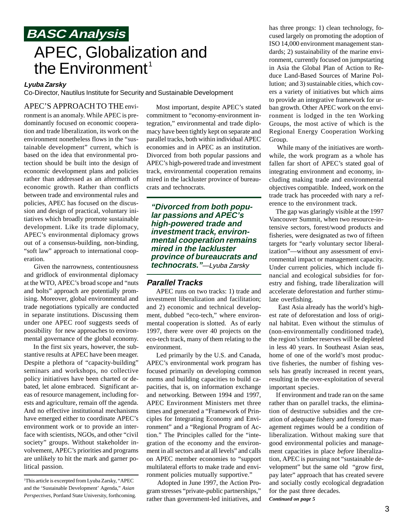### **BASC Analysis** APEC, Globalization and the Environment<sup>1</sup>

#### **Lyuba Zarsky**

Co-Director, Nautilus Institute for Security and Sustainable Development

APEC'S APPROACHTO THE envi-

ronment is an anomaly. While APEC is predominantly focused on economic cooperation and trade liberalization, its work on the environment nonetheless flows in the "sustainable development" current, which is based on the idea that environmental protection should be built into the design of economic development plans and policies rather than addressed as an aftermath of economic growth. Rather than conflicts between trade and environmental rules and policies, APEC has focused on the discussion and design of practical, voluntary initiatives which broadly promote sustainable development. Like its trade diplomacy, APEC's environmental diplomacy grows out of a consensus-building, non-binding, "soft law" approach to international cooperation.

 Given the narrowness, contentiousness and gridlock of environmental diplomacy at the WTO, APEC's broad scope and "nuts and bolts" approach are potentially promising. Moreover, global environmental and trade negotiations typically are conducted in separate institutions. Discussing them under one APEC roof suggests seeds of possibility for new approaches to environmental governance of the global economy.

 In the first six years, however, the substantive results at APEC have been meager. Despite a plethora of "capacity-building" seminars and workshops, no collective policy initiatives have been charted or debated, let alone embraced. Significant areas of resource management, including forests and agriculture, remain off the agenda. And no effective institutional mechanisms have emerged either to coordinate APEC's environment work or to provide an interface with scientists, NGOs, and other "civil society" groups. Without stakeholder involvement, APEC's priorities and programs are unlikely to hit the mark and garner political passion.

1 This article is excerpted from Lyuba Zarsky, "APEC and the 'Sustainable Development' Agenda," *Asian Perspectives,* Portland State University, forthcoming.

 Most important, despite APEC's stated commitment to "economy-environment integration," environmental and trade diplomacy have been tightly kept on separate and parallel tracks, both within individual APEC economies and in APEC as an institution. Divorced from both popular passions and APEC's high-powered trade and investment track, environmental cooperation remains mired in the lackluster province of bureaucrats and technocrats.

**"Divorced from both popular passions and APEC's high-powered trade and investment track, environmental cooperation remains mired in the lackluster province of bureaucrats and technocrats."**—Lyuba Zarsky

#### **Parallel Tracks**

 APEC runs on two tracks: 1) trade and investment liberalization and facilitation; and 2) economic and technical development, dubbed "eco-tech," where environmental cooperation is slotted. As of early 1997, there were over 40 projects on the eco-tech track, many of them relating to the environment.

 Led primarily by the U.S. and Canada, APEC's environmental work program has focused primarily on developing common norms and building capacities to build capacities, that is, on information exchange and networking. Between 1994 and 1997, APEC Environment Ministers met three times and generated a "Framework of Principles for Integrating Economy and Environment" and a "Regional Program of Action." The Principles called for the "integration of the economy and the environment in all sectors and at all levels" and calls on APEC member economies to "support multilateral efforts to make trade and environment policies mutually supportive."

 Adopted in June 1997, the Action Program stresses "private-public partnerships," rather than government-led initiatives, and has three prongs: 1) clean technology, focused largely on promoting the adoption of ISO 14,000 environment management standards; 2) sustainability of the marine environment, currently focused on jumpstarting in Asia the Global Plan of Action to Reduce Land-Based Sources of Marine Pollution; and 3) sustainable cities, which covers a variety of initiatives but which aims to provide an integrative framework for urban growth. Other APEC work on the environment is lodged in the ten Working Groups, the most active of which is the Regional Energy Cooperation Working Group.

 While many of the initiatives are worthwhile, the work program as a whole has fallen far short of APEC's stated goal of integrating environment and economy, including making trade and environmental objectives compatible. Indeed, work on the trade track has proceeded with nary a reference to the environment track.

 The gap was glaringly visible at the 1997 Vancouver Summit, when two resource-intensive sectors, forest/wood products and fisheries, were designated as two of fifteen targets for "early voluntary sector liberalization"—without any assessment of environmental impact or management capacity. Under current policies, which include financial and ecological subsidies for forestry and fishing, trade liberalization will accelerate deforestation and further stimulate overfishing.

 East Asia already has the world's highest rate of deforestation and loss of original habitat. Even without the stimulus of (non-environmentally conditioned trade), the region's timber reserves will be depleted in less 40 years. In Southeast Asian seas, home of one of the world's most productive fisheries, the number of fishing vessels has greatly increased in recent years, resulting in the over-exploitation of several important species.

*Continued on page 5* If environment and trade ran on the same rather than on parallel tracks, the elimination of destructive subsidies and the creation of adequate fishery and forestry management regimes would be a condition of liberalization. Without making sure that good environmental policies and management capacities in place *before* liberalization, APEC is pursuing not "sustainable development" but the same old "grow first, pay later" approach that has created severe and socially costly ecological degradation for the past three decades.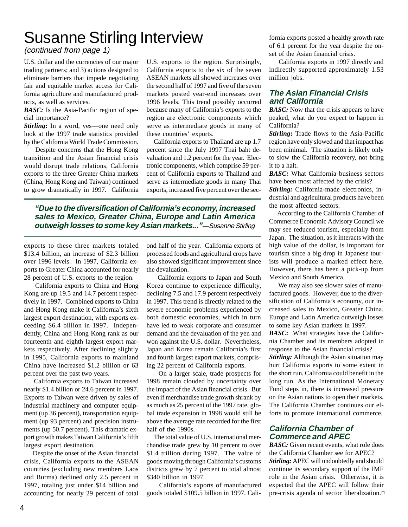### Susanne Stirling Interview

(continued from page 1)

U.S. dollar and the currencies of our major trading partners; and 3) actions designed to eliminate barriers that impede negotiating fair and equitable market access for California agriculture and manufactured products, as well as services.

**BASC:** Is the Asia-Pacific region of special importance?

*Stirling***:** In a word, yes—one need only look at the 1997 trade statistics provided by the California World Trade Commission.

 Despite concerns that the Hong Kong transition and the Asian financial crisis would disrupt trade relations, California exports to the three Greater China markets (China, Hong Kong and Taiwan) continued to grow dramatically in 1997. California

U.S. exports to the region. Surprisingly, California exports to the six of the seven ASEAN markets all showed increases over the second half of 1997 and five of the seven markets posted year-end increases over 1996 levels. This trend possibly occurred because many of California's exports to the region are electronic components which serve as intermediate goods in many of these countries' exports.

 California exports to Thailand are up 1.7 percent since the July 1997 Thai baht devaluation and 1.2 percent for the year. Electronic components, which comprise 59 percent of California exports to Thailand and serve as intermediate goods in many Thai exports, increased five percent over the sec-

**"Due to the diversification of California's economy, increased sales to Mexico, Greater China, Europe and Latin America outweigh losses to some key Asian markets..."**—Susanne Stirling

exports to these three markets totaled \$13.4 billion, an increase of \$2.3 billion over 1996 levels. In 1997, California exports to Greater China accounted for nearly 28 percent of U.S. exports to the region.

 California exports to China and Hong Kong are up 19.5 and 14.7 percent respectively in 1997. Combined exports to China and Hong Kong make it California's sixth largest export destination, with exports exceeding \$6.4 billion in 1997. Independently, China and Hong Kong rank as our fourteenth and eighth largest export markets respectively. After declining slightly in 1995, California exports to mainland China have increased \$1.2 billion or 63 percent over the past two years.

 California exports to Taiwan increased nearly \$1.4 billion or 24.6 percent in 1997. Exports to Taiwan were driven by sales of industrial machinery and computer equipment (up 36 percent), transportation equipment (up 93 percent) and precision instruments (up 50.7 percent). This dramatic export growth makes Taiwan California's fifth largest export destination.

 Despite the onset of the Asian financial crisis, California exports to the ASEAN countries (excluding new members Laos and Burma) declined only 2.5 percent in 1997, totaling just under \$14 billion and accounting for nearly 29 percent of total ond half of the year. California exports of processed foods and agricultural crops have also showed significant improvement since the devaluation.

 California exports to Japan and South Korea continue to experience difficulty, declining 7.5 and 17.9 percent respectively in 1997. This trend is directly related to the severe economic problems experienced by both domestic economies, which in turn have led to weak corporate and consumer demand and the devaluation of the yen and won against the U.S. dollar. Nevertheless, Japan and Korea remain California's first and fourth largest export markets, comprising 22 percent of California exports.

 On a larger scale, trade prospects for 1998 remain clouded by uncertainty over the impact of the Asian financial crisis. But even if merchandise trade growth shrank by as much as 25 percent of the 1997 rate, global trade expansion in 1998 would still be above the average rate recorded for the first half of the 1990s.

 The total value of U.S. international merchandise trade grew by 10 percent to over \$1.4 trillion during 1997. The value of goods moving through California's customs districts grew by 7 percent to total almost \$340 billion in 1997.

 California's exports of manufactured goods totaled \$109.5 billion in 1997. California exports posted a healthy growth rate of 6.1 percent for the year despite the onset of the Asian financial crisis.

 California exports in 1997 directly and indirectly supported approximately 1.53 million jobs.

#### **The Asian Financial Crisis and California**

**BASC:** Now that the crisis appears to have peaked, what do you expect to happen in California?

*Stirling***:** Trade flows to the Asia-Pacific region have only slowed and that impact has been minimal. The situation is likely only to slow the California recovery, not bring it to a halt.

*BASC:* What California business sectors have been most affected by the crisis? *Stirling:* California-made electronics, industrial and agricultural products have been the most affected sectors.

 According to the California Chamber of Commerce Economic Advisory Council we may see reduced tourism, especially from Japan. The situation, as it interacts with the high value of the dollar, is important for tourism since a big drop in Japanese tourists will produce a marked effect here. However, there has been a pick-up from Mexico and South America.

 We may also see slower sales of manufactured goods. However, due to the diversification of California's economy, our increased sales to Mexico, Greater China, Europe and Latin America outweigh losses to some key Asian markets in 1997.

*BASC***:** What strategies have the California Chamber and its members adopted in response to the Asian financial crisis?

*Stirling:* Although the Asian situation may hurt California exports to some extent in the short run, California could benefit in the long run. As the International Monetary Fund steps in, there is increased pressure on the Asian nations to open their markets. The California Chamber continues our efforts to promote international commerce.

#### **California Chamber of Commerce and APEC**

*BASC:* Given recent events, what role does the California Chamber see for APEC? *Stirling:* APEC will undoubtedly and should continue its secondary support of the IMF role in the Asian crisis. Otherwise, it is expected that the APEC will follow their pre-crisis agenda of sector liberalization.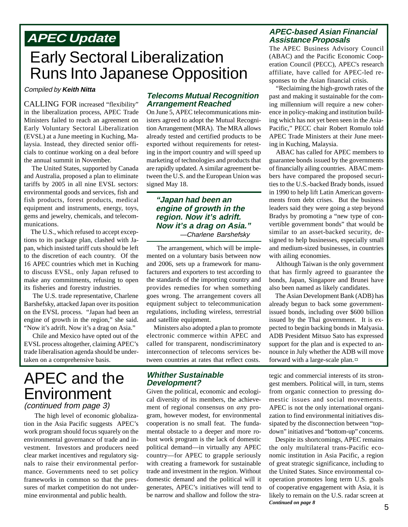### Early Sectoral Liberalization Runs Into Japanese Opposition

#### Compiled by **Keith Nitta**

CALLING FOR increased "flexibility" in the liberalization process, APEC Trade Ministers failed to reach an agreement on Early Voluntary Sectoral Liberalization (EVSL) at a June meeting in Kuching, Malaysia. Instead, they directed senior officials to continue working on a deal before the annual summit in November.

 The United States, supported by Canada and Australia, proposed a plan to eliminate tariffs by 2005 in all nine EVSL sectors: environmental goods and services, fish and fish products, forest products, medical equipment and instruments, energy, toys, gems and jewelry, chemicals, and telecommunications.

 The U.S., which refused to accept exceptions to its package plan, clashed with Japan, which insisted tariff cuts should be left to the discretion of each country. Of the 16 APEC countries which met in Kuching to discuss EVSL, only Japan refused to make any commitments, refusing to open its fisheries and forestry industries.

 The U.S. trade representative, Charlene Barshefsky, attacked Japan over its position on the EVSL process. "Japan had been an engine of growth in the region," she said. "Now it's adrift. Now it's a drag on Asia."

 Chile and Mexico have opted out of the EVSL process altogether, claiming APEC's trade liberalisation agenda should be undertaken on a comprehensive basis.

### APEC and the Environment (continued from page 3)

 The high level of economic globalization in the Asia Pacific suggests APEC's work program should focus squarely on the environmental governance of trade and investment. Investors and producers need clear market incentives and regulatory signals to raise their environmental performance. Governments need to set policy frameworks in common so that the pressures of market competition do not undermine environmental and public health.

#### **Telecoms Mutual Recognition Arrangement Reached**

On June 5, APEC telecommunications ministers agreed to adopt the Mutual Recognition Arrangement (MRA). The MRA allows already tested and certified products to be exported without requirements for retesting in the import country and will speed up marketing of technologies and products that are rapidly updated. A similar agreement between the U.S. and the European Union was signed May 18.

#### **"Japan had been an engine of growth in the region. Now it's adrift. Now it's a drag on Asia."** —Charlene Barshefsky

 The arrangement, which will be implemented on a voluntary basis between now and 2006, sets up a framework for manufacturers and exporters to test according to the standards of the importing country and provides remedies for when something goes wrong. The arrangement covers all equipment subject to telecommunication regulations, including wireless, terrestrial and satellite equipment.

 Ministers also adopted a plan to promote electronic commerce within APEC and called for transparent, nondiscriminatory interconnection of telecoms services between countries at rates that reflect costs.

#### **Whither Sustainable Development?**

Given the political, economic and ecological diversity of its members, the achievement of regional consensus on *an*y program, however modest, for environmental cooperation is no small feat. The fundamental obstacle to a deeper and more robust work program is the lack of domestic political demand—in virtually any APEC country—for APEC to grapple seriously with creating a framework for sustainable trade and investment in the region. Without domestic demand and the political will it generates, APEC's initiatives will tend to be narrow and shallow and follow the stra-

#### **APEC Update APEC-based Asian Financial Assistance Proposals**

The APEC Business Advisory Council (ABAC) and the Pacific Economic Cooperation Council (PECC), APEC's research affiliate, have called for APEC-led responses to the Asian financial crisis.

 "Reclaiming the high-growth rates of the past and making it sustainable for the coming millennium will require a new coherence in policy-making and institution building which has not yet been seen in the Asia-Pacific," PECC chair Robert Romulo told APEC Trade Ministers at their June meeting in Kuching, Malaysia.

 ABAC has called for APEC members to guarantee bonds issued by the governments of financially ailing countries. ABAC members have compared the proposed securities to the U.S.-backed Brady bonds, issued in 1990 to help lift Latin American governments from debt crises. But the business leaders said they were going a step beyond Bradys by promoting a "new type of convertible government bonds" that would be similar to an asset-backed security, designed to help businesses, especially small and medium-sized businesses, in countries with ailing economies.

 Although Taiwan is the only government that has firmly agreed to guarantee the bonds, Japan, Singapore and Brunei have also been named as likely candidates.

 The Asian Development Bank (ADB) has already begun to back some governmentissued bonds, including over \$600 billion issued by the Thai government. It is expected to begin backing bonds in Malyasia. ADB President Mitsuo Sato has expressed support for the plan and is expected to announce in July whether the ADB will move forward with a large-scale plan.

tegic and commercial interests of its strongest members. Political will, in turn, stems from organic connection to pressing domestic issues and social movements. APEC is not the only international organization to find environmental initiatives dissipated by the disconnection between "topdown" initiatives and "bottom-up" concerns.

*Continued on page 8* Despite its shortcomings, APEC remains the only multilateral trans-Pacific economic institution in Asia Pacific, a region of great strategic significance, including to the United States. Since environmental cooperation promotes long term U.S. goals of cooperative engagement with Asia, it is likely to remain on the U.S. radar screen at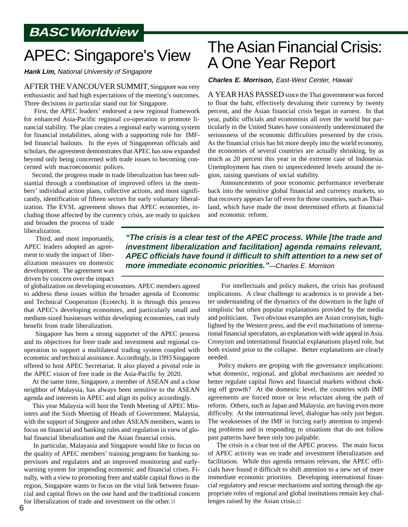### **BASC Worldview**

### APEC: Singapore's View

**Hank Lim,** National University of Singapore

AFTER THE VANCOUVER SUMMIT, Singapore was very enthusiastic and had high expectations of the meeting's outcomes. Three decisions in particular stand out for Singapore.

 First, the APEC leaders' endorsed a new regional framework for enhanced Asia-Pacific regional co-operation to promote financial stability. The plan creates a regional early warning system for financial instabilities, along with a supporting role for IMFled financial bailouts. In the eyes of Singaporean officials and scholars, the agreement demonstrates that APEC has now expanded beyond only being concerned with trade issues to becoming concerned with macroeconomic polices.

 Second, the progress made in trade liberalization has been substantial through a combination of improved offers in the members' individual action plans, collective actions, and most significantly, identification of fifteen sectors for early voluntary liberalization. The EVSL agreement shows that APEC economies, including those affected by the currency crisis, are ready to quicken

and broaden the process of trade liberalization.

 Third, and most importantly, APEC leaders adopted an agreement to study the impact of liberalization measures on domestic development. The agreement was driven by concern over the impact

of globalization on developing economies. APEC members agreed to address these issues within the broader agenda of Economic and Technical Cooperation (Ecotech). It is through this process that APEC's developing economies, and particularly small and medium-sized businesses within developing economies, can truly benefit from trade liberalization.

 Singapore has been a strong supporter of the APEC process and its objectives for freer trade and investment and regional cooperation to support a multilateral trading system coupled with economic and technical assistance. Accordingly, in 1993 Singapore offered to host APEC Secretariat. It also played a pivotal role in the APEC vision of free trade in the Asia-Pacific by 2020.

 At the same time, Singapore, a member of ASEAN and a close neighbor of Malaysia, has always been sensitive to the ASEAN agenda and interests in APEC and align its policy accordingly.

 This year Malaysia will host the Tenth Meeting of APEC Ministers and the Sixth Meeting of Heads of Government. Malaysia, with the support of Singpore and other ASEAN members, wants to focus on financial and banking rules and regulation in view of global financial liberalization and the Asian financial crisis.

 In particular, Malayasia and Singapore would like to focus on the quality of APEC members' training programs for banking supervisors and regulators and an improved monitoring and earlywarning system for impending economic and financial crises. Finally, with a view to promoting freer and stable capital flows in the region, Singapore wants to focus on the vital link between financial and capital flows on the one hand and the traditional concern for liberalization of trade and investment on the other.

### The Asian Financial Crisis: A One Year Report

#### **Charles E. Morrison,** East-West Center, Hawaii

A YEAR HAS PASSED since the Thai government was forced to float the baht, effectively devaluing their currency by twenty percent, and the Asian financial crisis began in earnest. In that year, public officials and economists all over the world but particularly in the United States have consistently underestimated the seriousness of the economic difficulties presented by the crisis. As the financial crisis has bit more deeply into the world economy, the economies of several countries are actually shrinking, by as much as 20 percent this year in the extreme case of Indonesia. Unemployment has risen to unprecedented levels around the region, raising questions of social stability.

 Announcements of poor economic performance reverberate back into the sensitive global financial and currency markets, so that recovery appears far off even for those countries, such as Thailand, which have made the most determined efforts at finanicial and economic reform.

**"The crisis is a clear test of the APEC process. While [the trade and investment liberalization and facilitation] agenda remains relevant, APEC officials have found it difficult to shift attention to a new set of more immediate economic priorities."**—Charles E. Morrison

> For intellectuals and policy makers, the crisis has profound implications. A clear challenge to academics is to provide a better understanding of the dynamics of the downturn in the light of simplistic but often popular explanations provided by the media and politicians. Two obvious examples are Asian cronyism, highlighted by the Western press, and the evil machinations of international financial speculators, an explanation with wide appeal in Asia. Cronyism and international financial explanations played role, but both existed prior to the collapse. Better explanations are clearly needed.

> Policy makers are groping with the governance implications: what domestic, regional, and global mechanisms are needed to better regulate capital flows and financial markets without choking off growth? At the domestic level, the countries with IMF agreements are forced more or less reluctant along the path of reform. Others, such as Japan and Malaysia, are having even more difficulty. At the international level, dialogue has only just begun. The weaknesses of the IMF in forcing early attention to impending problems and in responding to situations that do not follow past patterns have been only too palpable.

> The crisis is a clear test of the APEC process. The main focus of APEC activity was on trade and investment liberalization and facilitation. While this agenda remains relevant, the APEC officials have found it difficult to shift attention to a new set of more immediate economic priorities. Developing international financial regulatory and rescue mechanisms and sorting through the appropriate roles of regional and global institutions remain key challenges raised by the Asian crisis.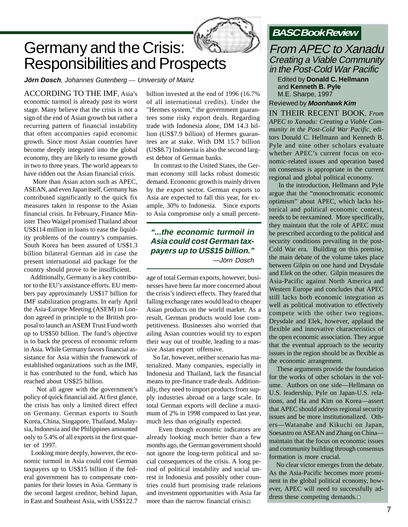

### Germany and the Crisis: Responsibilities and Prospects

**Jörn Dosch**, Johannes Gutenberg — University of Mainz

ACCORDING TO THE IMF, Asia's economic turmoil is already past its worst stage. Many believe that the crisis is not a sign of the end of Asian growth but rather a recurring pattern of financial instability that often accompanies rapid economic growth. Since most Asian countries have become deeply integrated into the global economy, they are likely to resume growth in two to three years. The world appears to have ridden out the Asian financial crisis.

 More than Asian actors such as APEC, ASEAN, and even Japan itself, Germany has contributed significantly to the quick fix measures taken in response to the Asian financial crisis. In February, Finance Minister Theo Waigel promised Thailand about US\$114 million in loans to ease the liquidity problems of the country's companies. South Korea has been assured of US\$1.3 billion bilateral German aid in case the present international aid package for the country should prove to be insufficient.

 Additionally, Germany is a key contributor to the EU's assistance efforts. EU members pay approximately US\$17 billion for IMF stabilization programs. In early April the Asia-Europe Meeting (ASEM) in London agreed in principle to the British proposal to launch an ASEM Trust Fund worth up to US\$50 billion. The fund's objective is to back the process of economic reform in Asia. While Germany favors financial assistance for Asia within the framework of established organizations such as the IMF, it has contributed to the fund, which has reached about US\$25 billion.

 Not all agree with the government's policy of quick financial aid. At first glance, the crisis has only a limited direct effect on Germany. German exports to South Korea, China, Singapore, Thailand, Malaysia, Indonesia and the Philippines amounted only to 5.4% of all exports in the first quarter of 1997.

 Looking more deeply, however, the economic turmoil in Asia could cost German taxpayers up to US\$15 billion if the federal government has to compensate companies for their losses in Asia. Germany is the second largest creditor, behind Japan, in East and Southeast Asia, with US\$122.7

billion invested at the end of 1996 (16.7% of all international credits). Under the "Hermes system," the government guarantees some risky export deals. Regarding trade with Indonesia alone, DM 14.3 billion (US\$7.9 billion) of Hermes guarantees are at stake. With DM 15.7 billion (US\$8.7) Indonesia is also the second largest debtor of German banks.

 In contrast to the United States, the German economy still lacks robust domestic demand. Economic growth is mainly driven by the export sector. German exports to Asia are expected to fall this year, for example, 30% to Indonesia. Since exports to Asia compromise only a small percent-

#### **"...the economic turmoil in Asia could cost German taxpayers up to US\$15 billion."** —Jörn Dosch

age of total German exports, however, businesses have been far more concerned about the crisis's indirect effects. They feared that falling exchange rates would lead to cheaper Asian products on the world market. As a result, German products would lose competitiveness. Businesses also worried that ailing Asian countries would try to export their way out of trouble, leading to a massive Asian export offensive.

 So far, however, neither scenario has materialized. Many companies, especially in Indonesia and Thailand, lack the financial means to pre-finance trade deals. Additionally, they need to import products from supply industries abroad on a large scale. In total German exports will decline a maximum of 2% in 1998 compared to last year, much less than originally expected.

 Even though economic indicators are already looking much better than a few months ago, the German government should not ignore the long-term political and social consequences of the crisis. A long period of political instability and social unrest in Indonesia and possibly other countries could hurt promising trade relations and investment opportunities with Asia far more than the narrow financial crisis.

### **BASC Book Review**

#### From APEC to Xanadu Creating a Viable Community in the Post-Cold War Pacific

Edited by **Donald C. Hellmann** and **Kenneth B. Pyle** M.E. Sharpe, 1997

#### Reviewed by **Moonhawk Kim**

IN THEIR RECENT BOOK, *From APEC to Xanadu: Creating a Viable Community in the Post-Cold War Pacific*, editors Donald C. Hellmann and Kenneth B. Pyle and nine other scholars evaluate whether APEC's current focus on economic-related issues and operation based on consensus is appropriate in the current regional and global political economy.

 In the introduction, Hellmann and Pyle argue that the "monochromatic economic optimism" about APEC, which lacks historical and political economic context, needs to be reexamined. More specifically, they maintain that the role of APEC must be prescribed according to the political and security conditions prevailing in the post-Cold War era. Building on this premise, the main debate of the volume takes place between Gilpin on one hand and Drysdale and Elek on the other. Gilpin measures the Asia-Pacific against North America and Western Europe and concludes that APEC still lacks both economic integration as well as political motivation to effectively compete with the other two regions. Drysdale and Elek, however, applaud the flexible and innovative characteristics of the open economic association. They argue that the eventual approach to the security issues in the region should be as flexible as the economic arrangement.

 These arguments provide the foundation for the works of other scholars in the volume. Authors on one side—Hellmann on U.S. leadership, Pyle on Japan-U.S. relations, and Ha and Kim on Korea—assert that APEC should address regional security issues and be more institutionalized. Others—Watanabe and Kikuchi on Japan, Soesastro on ASEAN and Zhang on China maintain that the focus on economic issues and community building through consensus formation is more crucial.

 No clear victor emerges from the debate. As the Asia-Pacific becomes more prominent in the global political economy, however, APEC will need to successfully address these competing demands.